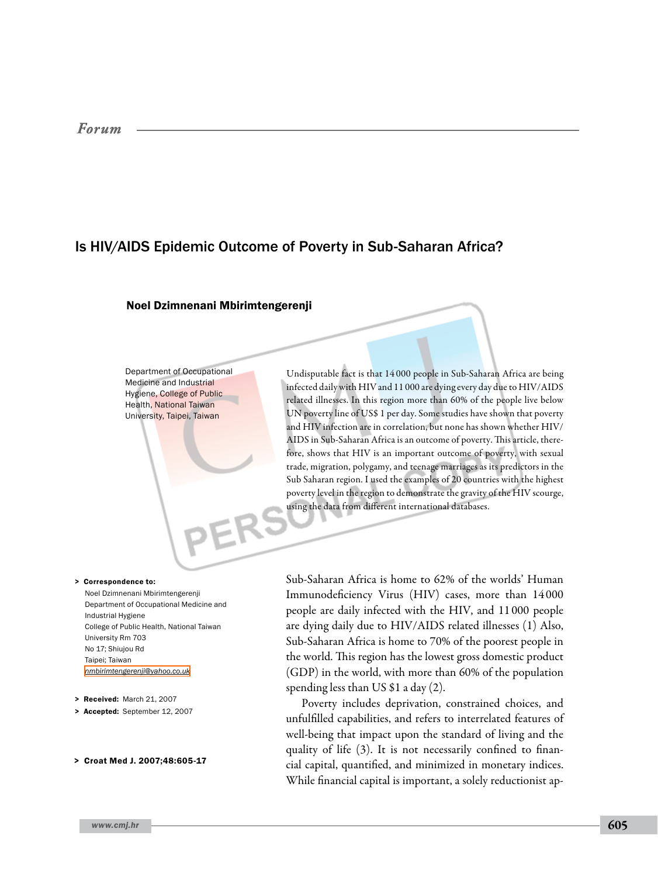# *Forum*

# Is HIV/AIDS Epidemic Outcome of Poverty in Sub-Saharan Africa?

# Noel Dzimnenani Mbirimtengerenji

Department of Occupational Medicine and Industrial Hygiene, College of Public Health, National Taiwan University, Taipei, Taiwan

Undisputable fact is that 14 000 people in Sub-Saharan Africa are being infected daily with HIV and 11 000 are dying every day due to HIV/AIDS related illnesses. In this region more than 60% of the people live below UN poverty line of US\$ 1 per day. Some studies have shown that poverty and HIV infection are in correlation, but none has shown whether HIV/ AIDS in Sub-Saharan Africa is an outcome of poverty. This article, therefore, shows that HIV is an important outcome of poverty, with sexual trade, migration, polygamy, and teenage marriages as its predictors in the Sub Saharan region. I used the examples of 20 countries with the highest poverty level in the region to demonstrate the gravity of the HIV scourge, using the data from different international databases.

#### > Correspondence to:

Noel Dzimnenani Mbirimtengerenji Department of Occupational Medicine and Industrial Hygiene College of Public Health, National Taiwan University Rm 703 No 17; Shiujou Rd Taipei; Taiwan *[nmbirimtengerenji@yahoo.co.uk](mailto: nmbirimtengerenji@yahoo.co.uk )*

> Received: March 21, 2007

> Accepted: September 12, 2007

#### > Croat Med J. 2007;48:605-17

Sub-Saharan Africa is home to 62% of the worlds' Human Immunodeficiency Virus (HIV) cases, more than 14 000 people are daily infected with the HIV, and 11 000 people are dying daily due to HIV/AIDS related illnesses (1) Also, Sub-Saharan Africa is home to 70% of the poorest people in the world. This region has the lowest gross domestic product (GDP) in the world, with more than 60% of the population spending less than US \$1 a day (2).

Poverty includes deprivation, constrained choices, and unfulfilled capabilities, and refers to interrelated features of well-being that impact upon the standard of living and the quality of life (3). It is not necessarily confined to financial capital, quantified, and minimized in monetary indices. While financial capital is important, a solely reductionist ap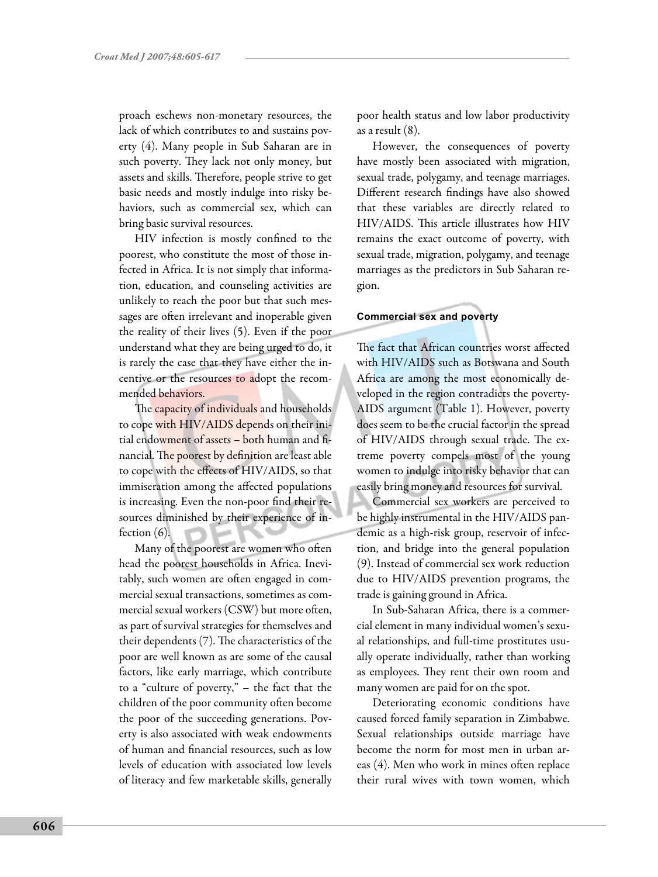proach eschews non-monetary resources, the lack of which contributes to and sustains poverty (4). Many people in Sub Saharan are in such poverty. They lack not only money, but assets and skills. Therefore, people strive to get basic needs and mostly indulge into risky behaviors, such as commercial sex, which can bring basic survival resources.

HIV infection is mostly confined to the poorest, who constitute the most of those infected in Africa. It is not simply that information, education, and counseling activities are unlikely to reach the poor but that such messages are often irrelevant and inoperable given the reality of their lives (5). Even if the poor understand what they are being urged to do, it is rarely the case that they have either the incentive or the resources to adopt the recommended behaviors.

The capacity of individuals and households to cope with HIV/AIDS depends on their initial endowment of assets – both human and financial. The poorest by definition are least able to cope with the effects of HIV/AIDS, so that immiseration among the affected populations is increasing. Even the non-poor find their resources diminished by their experience of infection (6).

Many of the poorest are women who often head the poorest households in Africa. Inevitably, such women are often engaged in commercial sexual transactions, sometimes as commercial sexual workers (CSW) but more often, as part of survival strategies for themselves and their dependents (7). The characteristics of the poor are well known as are some of the causal factors, like early marriage, which contribute to a "culture of poverty," – the fact that the children of the poor community often become the poor of the succeeding generations. Poverty is also associated with weak endowments of human and financial resources, such as low levels of education with associated low levels of literacy and few marketable skills, generally

poor health status and low labor productivity as a result (8).

However, the consequences of poverty have mostly been associated with migration, sexual trade, polygamy, and teenage marriages. Different research findings have also showed that these variables are directly related to HIV/AIDS. This article illustrates how HIV remains the exact outcome of poverty, with sexual trade, migration, polygamy, and teenage marriages as the predictors in Sub Saharan region.

### **Commercial sex and poverty**

The fact that African countries worst affected with HIV/AIDS such as Botswana and South Africa are among the most economically developed in the region contradicts the poverty-AIDS argument (Table 1). However, poverty does seem to be the crucial factor in the spread of HIV/AIDS through sexual trade. The extreme poverty compels most of the young women to indulge into risky behavior that can easily bring money and resources for survival.

Commercial sex workers are perceived to be highly instrumental in the HIV/AIDS pandemic as a high-risk group, reservoir of infection, and bridge into the general population (9). Instead of commercial sex work reduction due to HIV/AIDS prevention programs, the trade is gaining ground in Africa.

In Sub-Saharan Africa, there is a commercial element in many individual women's sexual relationships, and full-time prostitutes usually operate individually, rather than working as employees. They rent their own room and many women are paid for on the spot.

Deteriorating economic conditions have caused forced family separation in Zimbabwe. Sexual relationships outside marriage have become the norm for most men in urban areas (4). Men who work in mines often replace their rural wives with town women, which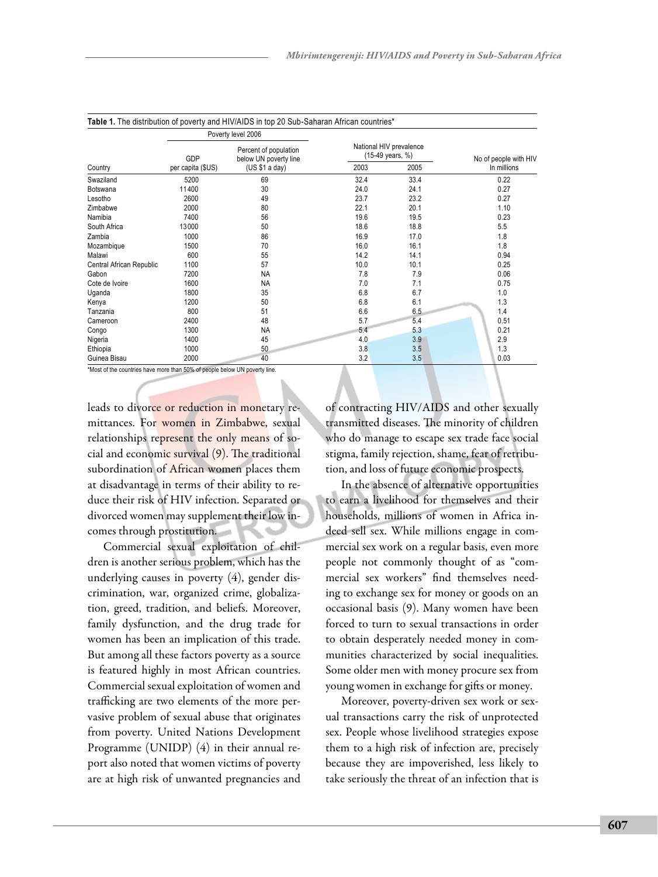| Country                  | Poverty level 2006       |                                                                  |                                             |      |                       |
|--------------------------|--------------------------|------------------------------------------------------------------|---------------------------------------------|------|-----------------------|
|                          | GDP<br>per capita (\$US) | Percent of population<br>below UN poverty line<br>(US \$1 a day) | National HIV prevalence<br>(15-49 years, %) |      | No of people with HIV |
|                          |                          |                                                                  | 2003                                        | 2005 | In millions           |
| Swaziland                | 5200                     | 69                                                               | 32.4                                        | 33.4 | 0.22                  |
| Botswana                 | 11400                    | 30                                                               | 24.0                                        | 24.1 | 0.27                  |
| Lesotho                  | 2600                     | 49                                                               | 23.7                                        | 23.2 | 0.27                  |
| Zimbabwe                 | 2000                     | 80                                                               | 22.1                                        | 20.1 | 1.10                  |
| Namibia                  | 7400                     | 56                                                               | 19.6                                        | 19.5 | 0.23                  |
| South Africa             | 13000                    | 50                                                               | 18.6                                        | 18.8 | 5.5                   |
| Zambia                   | 1000                     | 86                                                               | 16.9                                        | 17.0 | 1.8                   |
| Mozambique               | 1500                     | 70                                                               | 16.0                                        | 16.1 | 1.8                   |
| Malawi                   | 600                      | 55                                                               | 14.2                                        | 14.1 | 0.94                  |
| Central African Republic | 1100                     | 57                                                               | 10.0                                        | 10.1 | 0.25                  |
| Gabon                    | 7200                     | <b>NA</b>                                                        | 7.8                                         | 7.9  | 0.06                  |
| Cote de Ivoire           | 1600                     | <b>NA</b>                                                        | 7.0                                         | 7.1  | 0.75                  |
| Uganda                   | 1800                     | 35                                                               | 6.8                                         | 6.7  | 1.0                   |
| Kenya                    | 1200                     | 50                                                               | 6.8                                         | 6.1  | 1.3                   |
| Tanzania                 | 800                      | 51                                                               | 6.6                                         | 6.5  | 1.4                   |
| Cameroon                 | 2400                     | 48                                                               | 5.7                                         | 5.4  | 0.51                  |
| Congo                    | 1300                     | <b>NA</b>                                                        | 5.4                                         | 5.3  | 0.21                  |
| Nigeria                  | 1400                     | 45                                                               | 4.0                                         | 3.9  | 2.9                   |
| Ethiopia                 | 1000                     | 50                                                               | 3.8                                         | 3.5  | 1.3                   |
| Guinea Bisau             | 2000                     | 40                                                               | 3.2                                         | 3.5  | 0.03                  |

\*Most of the countries have more than 50% of people below UN poverty line.

leads to divorce or reduction in monetary remittances. For women in Zimbabwe, sexual relationships represent the only means of social and economic survival (9). The traditional subordination of African women places them at disadvantage in terms of their ability to reduce their risk of HIV infection. Separated or divorced women may supplement their low incomes through prostitution.

Commercial sexual exploitation of children is another serious problem, which has the underlying causes in poverty (4), gender discrimination, war, organized crime, globalization, greed, tradition, and beliefs. Moreover, family dysfunction, and the drug trade for women has been an implication of this trade. But among all these factors poverty as a source is featured highly in most African countries. Commercial sexual exploitation of women and trafficking are two elements of the more pervasive problem of sexual abuse that originates from poverty. United Nations Development Programme (UNIDP) (4) in their annual report also noted that women victims of poverty are at high risk of unwanted pregnancies and

of contracting HIV/AIDS and other sexually transmitted diseases. The minority of children who do manage to escape sex trade face social stigma, family rejection, shame, fear of retribution, and loss of future economic prospects.

In the absence of alternative opportunities to earn a livelihood for themselves and their households, millions of women in Africa indeed sell sex. While millions engage in commercial sex work on a regular basis, even more people not commonly thought of as "commercial sex workers" find themselves needing to exchange sex for money or goods on an occasional basis (9). Many women have been forced to turn to sexual transactions in order to obtain desperately needed money in communities characterized by social inequalities. Some older men with money procure sex from young women in exchange for gifts or money.

Moreover, poverty-driven sex work or sexual transactions carry the risk of unprotected sex. People whose livelihood strategies expose them to a high risk of infection are, precisely because they are impoverished, less likely to take seriously the threat of an infection that is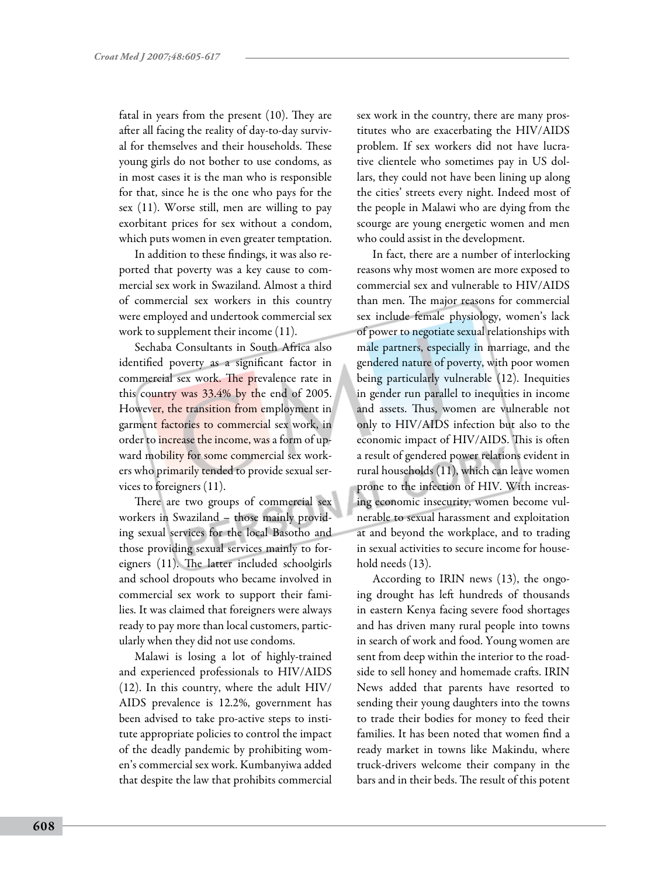fatal in years from the present (10). They are after all facing the reality of day-to-day survival for themselves and their households. These young girls do not bother to use condoms, as in most cases it is the man who is responsible for that, since he is the one who pays for the sex (11). Worse still, men are willing to pay exorbitant prices for sex without a condom, which puts women in even greater temptation.

In addition to these findings, it was also reported that poverty was a key cause to commercial sex work in Swaziland. Almost a third of commercial sex workers in this country were employed and undertook commercial sex work to supplement their income (11).

Sechaba Consultants in South Africa also identified poverty as a significant factor in commercial sex work. The prevalence rate in this country was 33.4% by the end of 2005. However, the transition from employment in garment factories to commercial sex work, in order to increase the income, was a form of upward mobility for some commercial sex workers who primarily tended to provide sexual services to foreigners (11).

There are two groups of commercial sex workers in Swaziland – those mainly providing sexual services for the local Basotho and those providing sexual services mainly to foreigners (11). The latter included schoolgirls and school dropouts who became involved in commercial sex work to support their families. It was claimed that foreigners were always ready to pay more than local customers, particularly when they did not use condoms.

Malawi is losing a lot of highly-trained and experienced professionals to HIV/AIDS (12). In this country, where the adult HIV/ AIDS prevalence is 12.2%, government has been advised to take pro-active steps to institute appropriate policies to control the impact of the deadly pandemic by prohibiting women's commercial sex work. Kumbanyiwa added that despite the law that prohibits commercial sex work in the country, there are many prostitutes who are exacerbating the HIV/AIDS problem. If sex workers did not have lucrative clientele who sometimes pay in US dollars, they could not have been lining up along the cities' streets every night. Indeed most of the people in Malawi who are dying from the scourge are young energetic women and men who could assist in the development.

In fact, there are a number of interlocking reasons why most women are more exposed to commercial sex and vulnerable to HIV/AIDS than men. The major reasons for commercial sex include female physiology, women's lack of power to negotiate sexual relationships with male partners, especially in marriage, and the gendered nature of poverty, with poor women being particularly vulnerable (12). Inequities in gender run parallel to inequities in income and assets. Thus, women are vulnerable not only to HIV/AIDS infection but also to the economic impact of HIV/AIDS. This is often a result of gendered power relations evident in rural households (11), which can leave women prone to the infection of HIV. With increasing economic insecurity, women become vulnerable to sexual harassment and exploitation at and beyond the workplace, and to trading in sexual activities to secure income for household needs (13).

According to IRIN news (13), the ongoing drought has left hundreds of thousands in eastern Kenya facing severe food shortages and has driven many rural people into towns in search of work and food. Young women are sent from deep within the interior to the roadside to sell honey and homemade crafts. IRIN News added that parents have resorted to sending their young daughters into the towns to trade their bodies for money to feed their families. It has been noted that women find a ready market in towns like Makindu, where truck-drivers welcome their company in the bars and in their beds. The result of this potent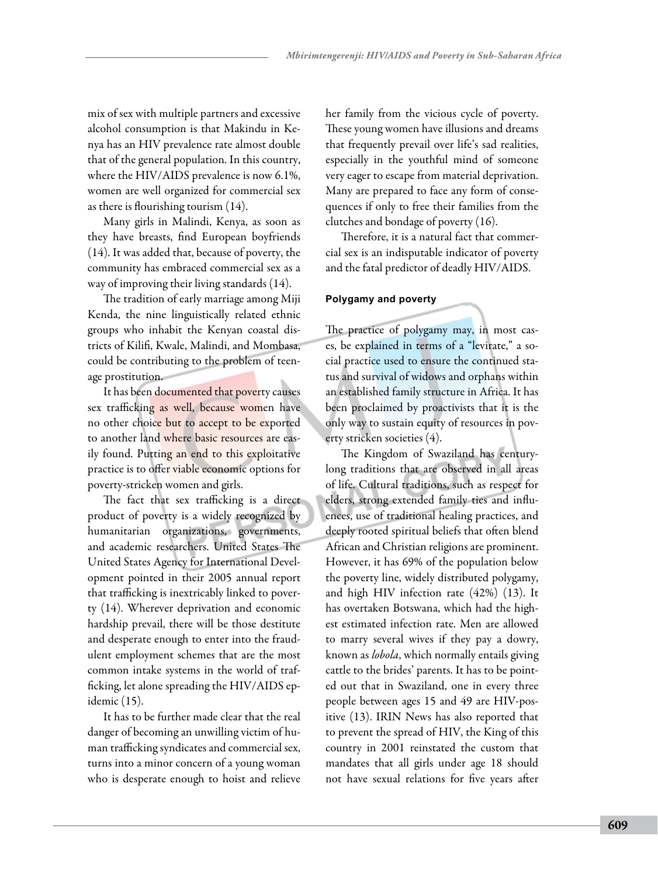mix of sex with multiple partners and excessive alcohol consumption is that Makindu in Kenya has an HIV prevalence rate almost double that of the general population. In this country, where the HIV/AIDS prevalence is now 6.1%, women are well organized for commercial sex as there is flourishing tourism (14).

Many girls in Malindi, Kenya, as soon as they have breasts, find European boyfriends (14). It was added that, because of poverty, the community has embraced commercial sex as a way of improving their living standards (14).

The tradition of early marriage among Miji Kenda, the nine linguistically related ethnic groups who inhabit the Kenyan coastal districts of Kilifi, Kwale, Malindi, and Mombasa, could be contributing to the problem of teenage prostitution.

It has been documented that poverty causes sex trafficking as well, because women have no other choice but to accept to be exported to another land where basic resources are easily found. Putting an end to this exploitative practice is to offer viable economic options for poverty-stricken women and girls.

The fact that sex trafficking is a direct product of poverty is a widely recognized by humanitarian organizations, governments, and academic researchers. United States The United States Agency for International Development pointed in their 2005 annual report that trafficking is inextricably linked to poverty (14). Wherever deprivation and economic hardship prevail, there will be those destitute and desperate enough to enter into the fraudulent employment schemes that are the most common intake systems in the world of trafficking, let alone spreading the HIV/AIDS epidemic (15).

It has to be further made clear that the real danger of becoming an unwilling victim of human trafficking syndicates and commercial sex, turns into a minor concern of a young woman who is desperate enough to hoist and relieve her family from the vicious cycle of poverty. These young women have illusions and dreams that frequently prevail over life's sad realities, especially in the youthful mind of someone very eager to escape from material deprivation. Many are prepared to face any form of consequences if only to free their families from the clutches and bondage of poverty (16).

Therefore, it is a natural fact that commercial sex is an indisputable indicator of poverty and the fatal predictor of deadly HIV/AIDS.

# **Polygamy and poverty**

The practice of polygamy may, in most cases, be explained in terms of a "levirate," a social practice used to ensure the continued status and survival of widows and orphans within an established family structure in Africa. It has been proclaimed by proactivists that it is the only way to sustain equity of resources in poverty stricken societies (4).

The Kingdom of Swaziland has centurylong traditions that are observed in all areas of life. Cultural traditions, such as respect for elders, strong extended family ties and influences, use of traditional healing practices, and deeply rooted spiritual beliefs that often blend African and Christian religions are prominent. However, it has 69% of the population below the poverty line, widely distributed polygamy, and high HIV infection rate (42%) (13). It has overtaken Botswana, which had the highest estimated infection rate. Men are allowed to marry several wives if they pay a dowry, known as *lobola*, which normally entails giving cattle to the brides' parents. It has to be pointed out that in Swaziland, one in every three people between ages 15 and 49 are HIV-positive (13). IRIN News has also reported that to prevent the spread of HIV, the King of this country in 2001 reinstated the custom that mandates that all girls under age 18 should not have sexual relations for five years after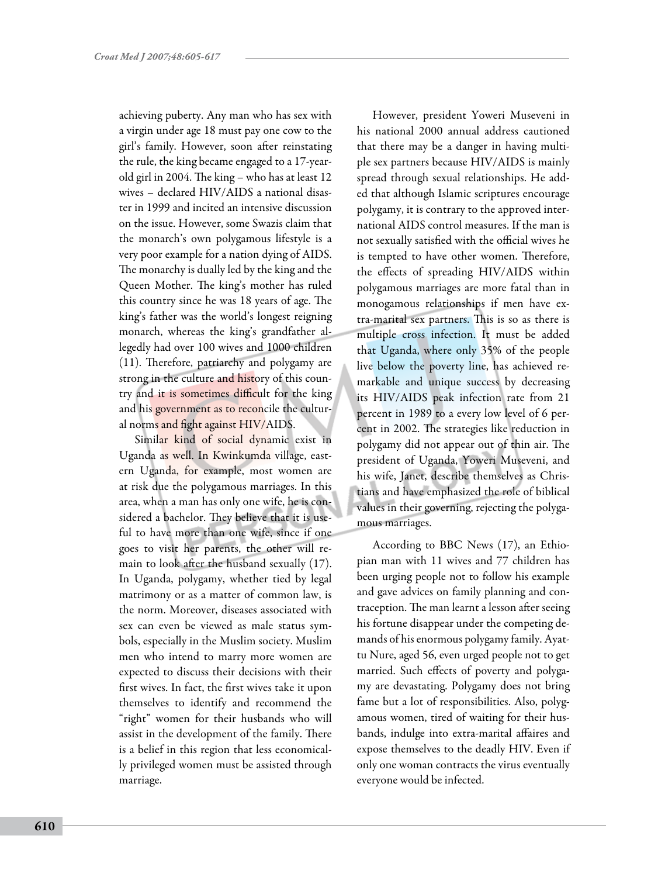achieving puberty. Any man who has sex with a virgin under age 18 must pay one cow to the girl's family. However, soon after reinstating the rule, the king became engaged to a 17-yearold girl in 2004. The king – who has at least 12 wives – declared HIV/AIDS a national disaster in 1999 and incited an intensive discussion on the issue. However, some Swazis claim that the monarch's own polygamous lifestyle is a very poor example for a nation dying of AIDS. The monarchy is dually led by the king and the Queen Mother. The king's mother has ruled this country since he was 18 years of age. The king's father was the world's longest reigning monarch, whereas the king's grandfather allegedly had over 100 wives and 1000 children (11). Therefore, patriarchy and polygamy are strong in the culture and history of this country and it is sometimes difficult for the king and his government as to reconcile the cultural norms and fight against HIV/AIDS.

Similar kind of social dynamic exist in Uganda as well. In Kwinkumda village, eastern Uganda, for example, most women are at risk due the polygamous marriages. In this area, when a man has only one wife, he is considered a bachelor. They believe that it is useful to have more than one wife, since if one goes to visit her parents, the other will remain to look after the husband sexually (17). In Uganda, polygamy, whether tied by legal matrimony or as a matter of common law, is the norm. Moreover, diseases associated with sex can even be viewed as male status symbols, especially in the Muslim society. Muslim men who intend to marry more women are expected to discuss their decisions with their first wives. In fact, the first wives take it upon themselves to identify and recommend the "right" women for their husbands who will assist in the development of the family. There is a belief in this region that less economically privileged women must be assisted through marriage.

However, president Yoweri Museveni in his national 2000 annual address cautioned that there may be a danger in having multiple sex partners because HIV/AIDS is mainly spread through sexual relationships. He added that although Islamic scriptures encourage polygamy, it is contrary to the approved international AIDS control measures. If the man is not sexually satisfied with the official wives he is tempted to have other women. Therefore, the effects of spreading HIV/AIDS within polygamous marriages are more fatal than in monogamous relationships if men have extra-marital sex partners. This is so as there is multiple cross infection. It must be added that Uganda, where only 35% of the people live below the poverty line, has achieved remarkable and unique success by decreasing its HIV/AIDS peak infection rate from 21 percent in 1989 to a every low level of 6 percent in 2002. The strategies like reduction in polygamy did not appear out of thin air. The president of Uganda, Yoweri Museveni, and his wife, Janet, describe themselves as Christians and have emphasized the role of biblical values in their governing, rejecting the polygamous marriages.

According to BBC News (17), an Ethiopian man with 11 wives and 77 children has been urging people not to follow his example and gave advices on family planning and contraception. The man learnt a lesson after seeing his fortune disappear under the competing demands of his enormous polygamy family. Ayattu Nure, aged 56, even urged people not to get married. Such effects of poverty and polygamy are devastating. Polygamy does not bring fame but a lot of responsibilities. Also, polygamous women, tired of waiting for their husbands, indulge into extra-marital affaires and expose themselves to the deadly HIV. Even if only one woman contracts the virus eventually everyone would be infected.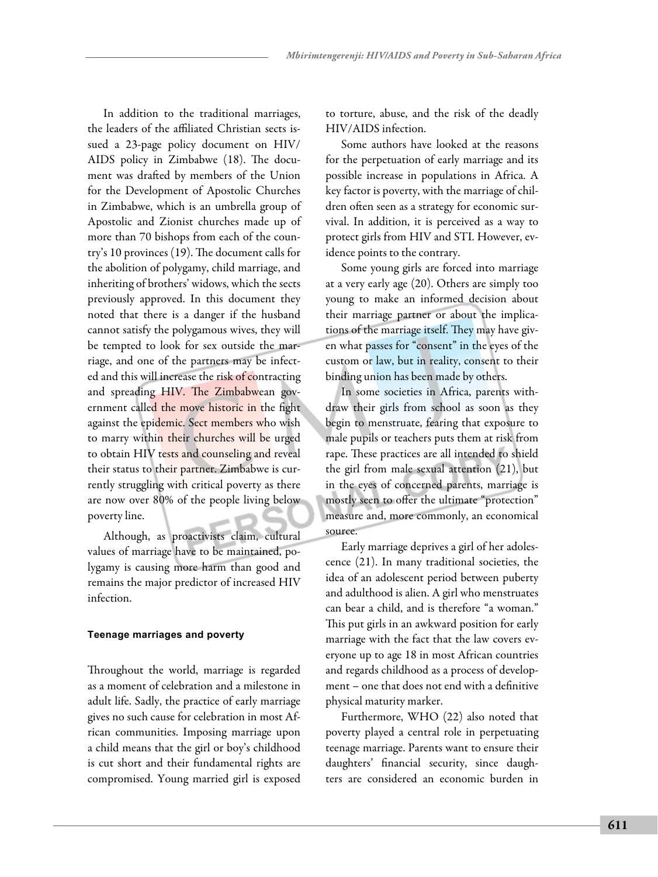In addition to the traditional marriages, the leaders of the affiliated Christian sects issued a 23-page policy document on HIV/ AIDS policy in Zimbabwe (18). The document was drafted by members of the Union for the Development of Apostolic Churches in Zimbabwe, which is an umbrella group of Apostolic and Zionist churches made up of more than 70 bishops from each of the country's 10 provinces (19). The document calls for the abolition of polygamy, child marriage, and inheriting of brothers' widows, which the sects previously approved. In this document they noted that there is a danger if the husband cannot satisfy the polygamous wives, they will be tempted to look for sex outside the marriage, and one of the partners may be infected and this will increase the risk of contracting and spreading HIV. The Zimbabwean government called the move historic in the fight against the epidemic. Sect members who wish to marry within their churches will be urged to obtain HIV tests and counseling and reveal their status to their partner. Zimbabwe is currently struggling with critical poverty as there are now over 80% of the people living below poverty line.

Although, as proactivists claim, cultural values of marriage have to be maintained, polygamy is causing more harm than good and remains the major predictor of increased HIV infection.

## **Teenage marriages and poverty**

Throughout the world, marriage is regarded as a moment of celebration and a milestone in adult life. Sadly, the practice of early marriage gives no such cause for celebration in most African communities. Imposing marriage upon a child means that the girl or boy's childhood is cut short and their fundamental rights are compromised. Young married girl is exposed to torture, abuse, and the risk of the deadly HIV/AIDS infection.

Some authors have looked at the reasons for the perpetuation of early marriage and its possible increase in populations in Africa. A key factor is poverty, with the marriage of children often seen as a strategy for economic survival. In addition, it is perceived as a way to protect girls from HIV and STI. However, evidence points to the contrary.

Some young girls are forced into marriage at a very early age (20). Others are simply too young to make an informed decision about their marriage partner or about the implications of the marriage itself. They may have given what passes for "consent" in the eyes of the custom or law, but in reality, consent to their binding union has been made by others.

In some societies in Africa, parents withdraw their girls from school as soon as they begin to menstruate, fearing that exposure to male pupils or teachers puts them at risk from rape. These practices are all intended to shield the girl from male sexual attention (21), but in the eyes of concerned parents, marriage is mostly seen to offer the ultimate "protection" measure and, more commonly, an economical source.

Early marriage deprives a girl of her adolescence (21). In many traditional societies, the idea of an adolescent period between puberty and adulthood is alien. A girl who menstruates can bear a child, and is therefore "a woman." This put girls in an awkward position for early marriage with the fact that the law covers everyone up to age 18 in most African countries and regards childhood as a process of development – one that does not end with a definitive physical maturity marker.

Furthermore, WHO (22) also noted that poverty played a central role in perpetuating teenage marriage. Parents want to ensure their daughters' financial security, since daughters are considered an economic burden in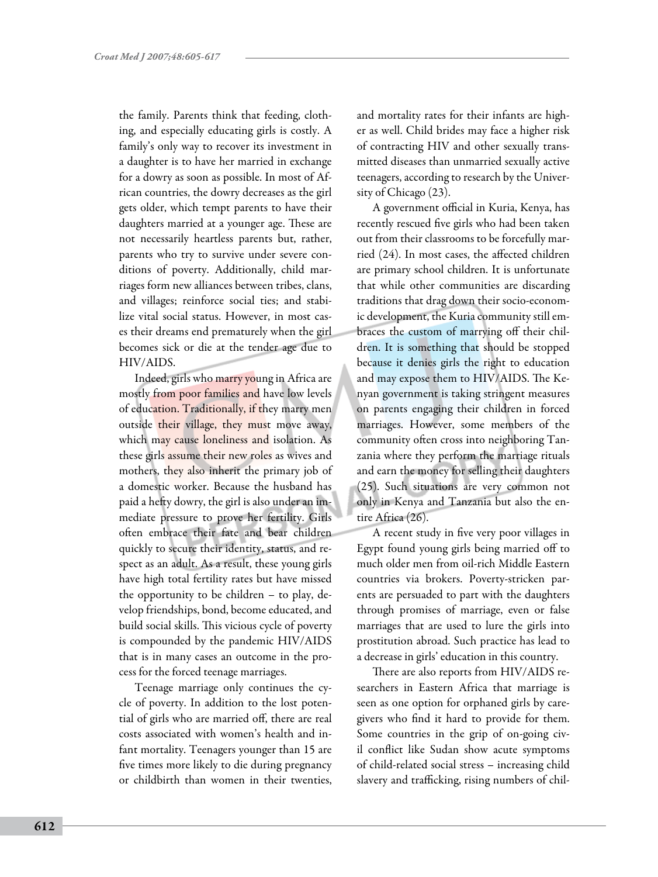the family. Parents think that feeding, clothing, and especially educating girls is costly. A family's only way to recover its investment in a daughter is to have her married in exchange for a dowry as soon as possible. In most of African countries, the dowry decreases as the girl gets older, which tempt parents to have their daughters married at a younger age. These are not necessarily heartless parents but, rather, parents who try to survive under severe conditions of poverty. Additionally, child marriages form new alliances between tribes, clans, and villages; reinforce social ties; and stabilize vital social status. However, in most cases their dreams end prematurely when the girl becomes sick or die at the tender age due to HIV/AIDS.

Indeed, girls who marry young in Africa are mostly from poor families and have low levels of education. Traditionally, if they marry men outside their village, they must move away, which may cause loneliness and isolation. As these girls assume their new roles as wives and mothers, they also inherit the primary job of a domestic worker. Because the husband has paid a hefty dowry, the girl is also under an immediate pressure to prove her fertility. Girls often embrace their fate and bear children quickly to secure their identity, status, and respect as an adult. As a result, these young girls have high total fertility rates but have missed the opportunity to be children – to play, develop friendships, bond, become educated, and build social skills. This vicious cycle of poverty is compounded by the pandemic HIV/AIDS that is in many cases an outcome in the process for the forced teenage marriages.

Teenage marriage only continues the cycle of poverty. In addition to the lost potential of girls who are married off, there are real costs associated with women's health and infant mortality. Teenagers younger than 15 are five times more likely to die during pregnancy or childbirth than women in their twenties, and mortality rates for their infants are higher as well. Child brides may face a higher risk of contracting HIV and other sexually transmitted diseases than unmarried sexually active teenagers, according to research by the University of Chicago (23).

A government official in Kuria, Kenya, has recently rescued five girls who had been taken out from their classrooms to be forcefully married (24). In most cases, the affected children are primary school children. It is unfortunate that while other communities are discarding traditions that drag down their socio-economic development, the Kuria community still embraces the custom of marrying off their children. It is something that should be stopped because it denies girls the right to education and may expose them to HIV/AIDS. The Kenyan government is taking stringent measures on parents engaging their children in forced marriages. However, some members of the community often cross into neighboring Tanzania where they perform the marriage rituals and earn the money for selling their daughters (25). Such situations are very common not only in Kenya and Tanzania but also the entire Africa (26).

A recent study in five very poor villages in Egypt found young girls being married off to much older men from oil-rich Middle Eastern countries via brokers. Poverty-stricken parents are persuaded to part with the daughters through promises of marriage, even or false marriages that are used to lure the girls into prostitution abroad. Such practice has lead to a decrease in girls' education in this country.

There are also reports from HIV/AIDS researchers in Eastern Africa that marriage is seen as one option for orphaned girls by caregivers who find it hard to provide for them. Some countries in the grip of on-going civil conflict like Sudan show acute symptoms of child-related social stress – increasing child slavery and trafficking, rising numbers of chil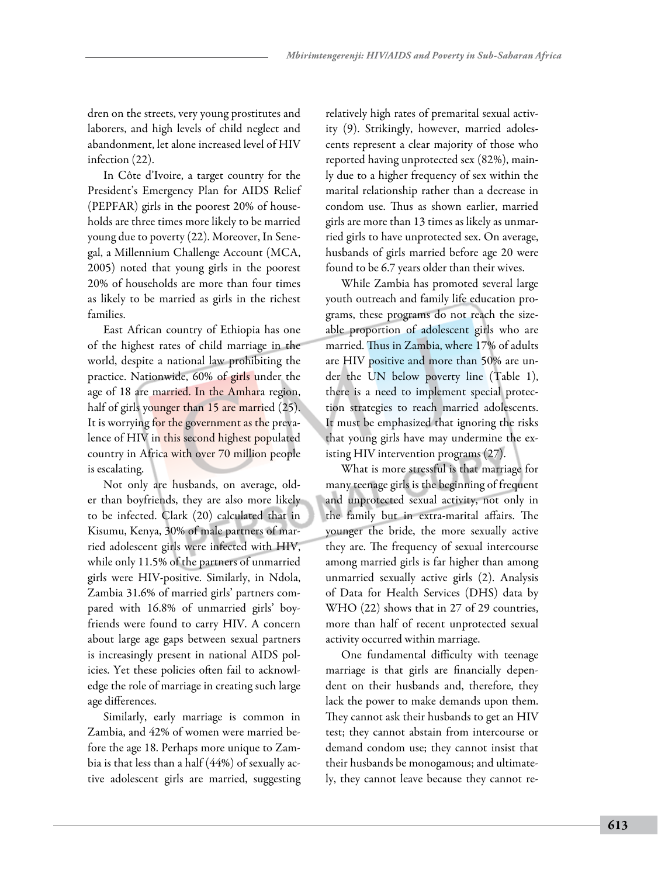dren on the streets, very young prostitutes and laborers, and high levels of child neglect and abandonment, let alone increased level of HIV infection (22).

In Côte d'Ivoire, a target country for the President's Emergency Plan for AIDS Relief (PEPFAR) girls in the poorest 20% of households are three times more likely to be married young due to poverty (22). Moreover, In Senegal, a Millennium Challenge Account (MCA, 2005) noted that young girls in the poorest 20% of households are more than four times as likely to be married as girls in the richest families.

East African country of Ethiopia has one of the highest rates of child marriage in the world, despite a national law prohibiting the practice. Nationwide, 60% of girls under the age of 18 are married. In the Amhara region, half of girls younger than 15 are married (25). It is worrying for the government as the prevalence of HIV in this second highest populated country in Africa with over 70 million people is escalating.

Not only are husbands, on average, older than boyfriends, they are also more likely to be infected. Clark (20) calculated that in Kisumu, Kenya, 30% of male partners of married adolescent girls were infected with HIV, while only 11.5% of the partners of unmarried girls were HIV-positive. Similarly, in Ndola, Zambia 31.6% of married girls' partners compared with 16.8% of unmarried girls' boyfriends were found to carry HIV. A concern about large age gaps between sexual partners is increasingly present in national AIDS policies. Yet these policies often fail to acknowledge the role of marriage in creating such large age differences.

Similarly, early marriage is common in Zambia, and 42% of women were married before the age 18. Perhaps more unique to Zambia is that less than a half (44%) of sexually active adolescent girls are married, suggesting relatively high rates of premarital sexual activity (9). Strikingly, however, married adolescents represent a clear majority of those who reported having unprotected sex (82%), mainly due to a higher frequency of sex within the marital relationship rather than a decrease in condom use. Thus as shown earlier, married girls are more than 13 times as likely as unmarried girls to have unprotected sex. On average, husbands of girls married before age 20 were found to be 6.7 years older than their wives.

While Zambia has promoted several large youth outreach and family life education programs, these programs do not reach the sizeable proportion of adolescent girls who are married. Thus in Zambia, where 17% of adults are HIV positive and more than 50% are under the UN below poverty line (Table 1), there is a need to implement special protection strategies to reach married adolescents. It must be emphasized that ignoring the risks that young girls have may undermine the existing HIV intervention programs (27).

What is more stressful is that marriage for many teenage girls is the beginning of frequent and unprotected sexual activity, not only in the family but in extra-marital affairs. The younger the bride, the more sexually active they are. The frequency of sexual intercourse among married girls is far higher than among unmarried sexually active girls (2). Analysis of Data for Health Services (DHS) data by WHO (22) shows that in 27 of 29 countries, more than half of recent unprotected sexual activity occurred within marriage.

One fundamental difficulty with teenage marriage is that girls are financially dependent on their husbands and, therefore, they lack the power to make demands upon them. They cannot ask their husbands to get an HIV test; they cannot abstain from intercourse or demand condom use; they cannot insist that their husbands be monogamous; and ultimately, they cannot leave because they cannot re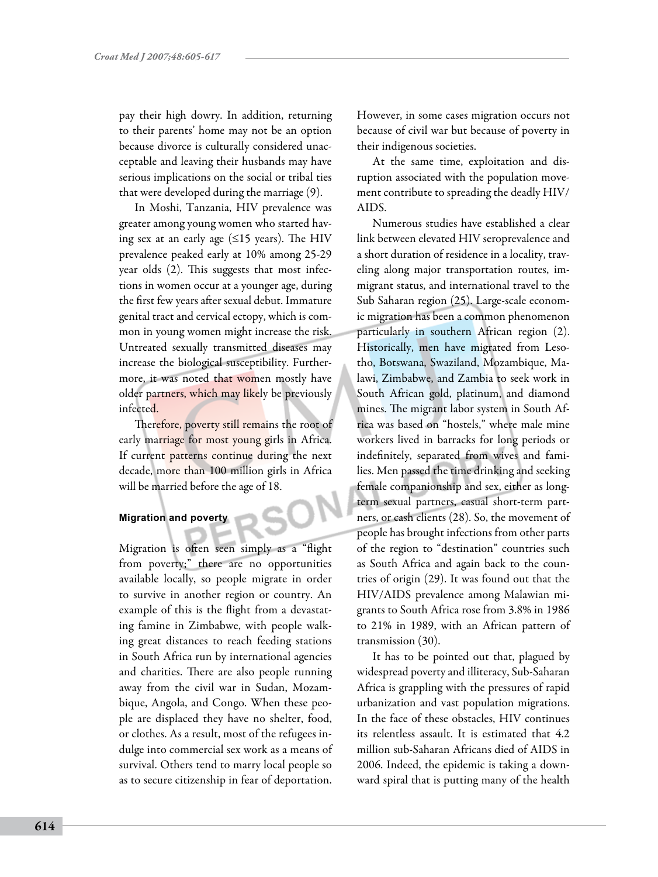pay their high dowry. In addition, returning to their parents' home may not be an option because divorce is culturally considered unacceptable and leaving their husbands may have serious implications on the social or tribal ties that were developed during the marriage (9).

In Moshi, Tanzania, HIV prevalence was greater among young women who started having sex at an early age  $(\leq 15$  years). The HIV prevalence peaked early at 10% among 25-29 year olds (2). This suggests that most infections in women occur at a younger age, during the first few years after sexual debut. Immature genital tract and cervical ectopy, which is common in young women might increase the risk. Untreated sexually transmitted diseases may increase the biological susceptibility. Furthermore, it was noted that women mostly have older partners, which may likely be previously infected.

Therefore, poverty still remains the root of early marriage for most young girls in Africa. If current patterns continue during the next decade, more than 100 million girls in Africa will be married before the age of 18.

## **Migration and poverty**

Migration is often seen simply as a "flight from poverty;" there are no opportunities available locally, so people migrate in order to survive in another region or country. An example of this is the flight from a devastating famine in Zimbabwe, with people walking great distances to reach feeding stations in South Africa run by international agencies and charities. There are also people running away from the civil war in Sudan, Mozambique, Angola, and Congo. When these people are displaced they have no shelter, food, or clothes. As a result, most of the refugees indulge into commercial sex work as a means of survival. Others tend to marry local people so as to secure citizenship in fear of deportation.

However, in some cases migration occurs not because of civil war but because of poverty in their indigenous societies.

At the same time, exploitation and disruption associated with the population movement contribute to spreading the deadly HIV/ AIDS.

Numerous studies have established a clear link between elevated HIV seroprevalence and a short duration of residence in a locality, traveling along major transportation routes, immigrant status, and international travel to the Sub Saharan region (25). Large-scale economic migration has been a common phenomenon particularly in southern African region (2). Historically, men have migrated from Lesotho, Botswana, Swaziland, Mozambique, Malawi, Zimbabwe, and Zambia to seek work in South African gold, platinum, and diamond mines. The migrant labor system in South Africa was based on "hostels," where male mine workers lived in barracks for long periods or indefinitely, separated from wives and families. Men passed the time drinking and seeking female companionship and sex, either as longterm sexual partners, casual short-term partners, or cash clients (28). So, the movement of people has brought infections from other parts of the region to "destination" countries such as South Africa and again back to the countries of origin (29). It was found out that the HIV/AIDS prevalence among Malawian migrants to South Africa rose from 3.8% in 1986 to 21% in 1989, with an African pattern of transmission (30).

It has to be pointed out that, plagued by widespread poverty and illiteracy, Sub-Saharan Africa is grappling with the pressures of rapid urbanization and vast population migrations. In the face of these obstacles, HIV continues its relentless assault. It is estimated that 4.2 million sub-Saharan Africans died of AIDS in 2006. Indeed, the epidemic is taking a downward spiral that is putting many of the health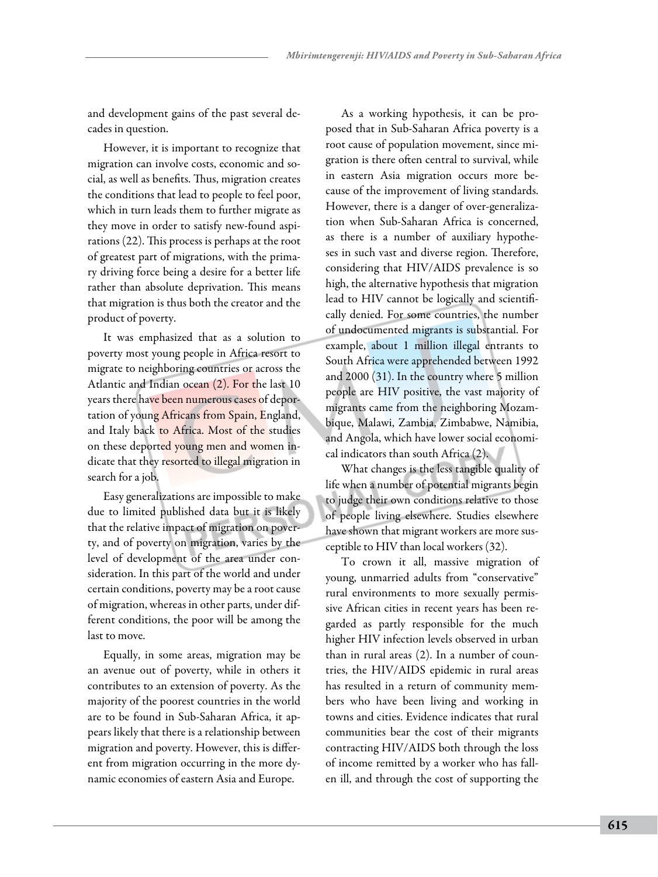and development gains of the past several decades in question.

However, it is important to recognize that migration can involve costs, economic and social, as well as benefits. Thus, migration creates the conditions that lead to people to feel poor, which in turn leads them to further migrate as they move in order to satisfy new-found aspirations (22). This process is perhaps at the root of greatest part of migrations, with the primary driving force being a desire for a better life rather than absolute deprivation. This means that migration is thus both the creator and the product of poverty.

It was emphasized that as a solution to poverty most young people in Africa resort to migrate to neighboring countries or across the Atlantic and Indian ocean (2). For the last 10 years there have been numerous cases of deportation of young Africans from Spain, England, and Italy back to Africa. Most of the studies on these deported young men and women indicate that they resorted to illegal migration in search for a job.

Easy generalizations are impossible to make due to limited published data but it is likely that the relative impact of migration on poverty, and of poverty on migration, varies by the level of development of the area under consideration. In this part of the world and under certain conditions, poverty may be a root cause of migration, whereas in other parts, under different conditions, the poor will be among the last to move.

Equally, in some areas, migration may be an avenue out of poverty, while in others it contributes to an extension of poverty. As the majority of the poorest countries in the world are to be found in Sub-Saharan Africa, it appears likely that there is a relationship between migration and poverty. However, this is different from migration occurring in the more dynamic economies of eastern Asia and Europe.

As a working hypothesis, it can be proposed that in Sub-Saharan Africa poverty is a root cause of population movement, since migration is there often central to survival, while in eastern Asia migration occurs more because of the improvement of living standards. However, there is a danger of over-generalization when Sub-Saharan Africa is concerned, as there is a number of auxiliary hypotheses in such vast and diverse region. Therefore, considering that HIV/AIDS prevalence is so high, the alternative hypothesis that migration lead to HIV cannot be logically and scientifically denied. For some countries, the number of undocumented migrants is substantial. For example, about 1 million illegal entrants to South Africa were apprehended between 1992 and 2000 (31). In the country where 5 million people are HIV positive, the vast majority of migrants came from the neighboring Mozambique, Malawi, Zambia, Zimbabwe, Namibia, and Angola, which have lower social economical indicators than south Africa (2).

What changes is the less tangible quality of life when a number of potential migrants begin to judge their own conditions relative to those of people living elsewhere. Studies elsewhere have shown that migrant workers are more susceptible to HIV than local workers (32).

To crown it all, massive migration of young, unmarried adults from "conservative" rural environments to more sexually permissive African cities in recent years has been regarded as partly responsible for the much higher HIV infection levels observed in urban than in rural areas (2). In a number of countries, the HIV/AIDS epidemic in rural areas has resulted in a return of community members who have been living and working in towns and cities. Evidence indicates that rural communities bear the cost of their migrants contracting HIV/AIDS both through the loss of income remitted by a worker who has fallen ill, and through the cost of supporting the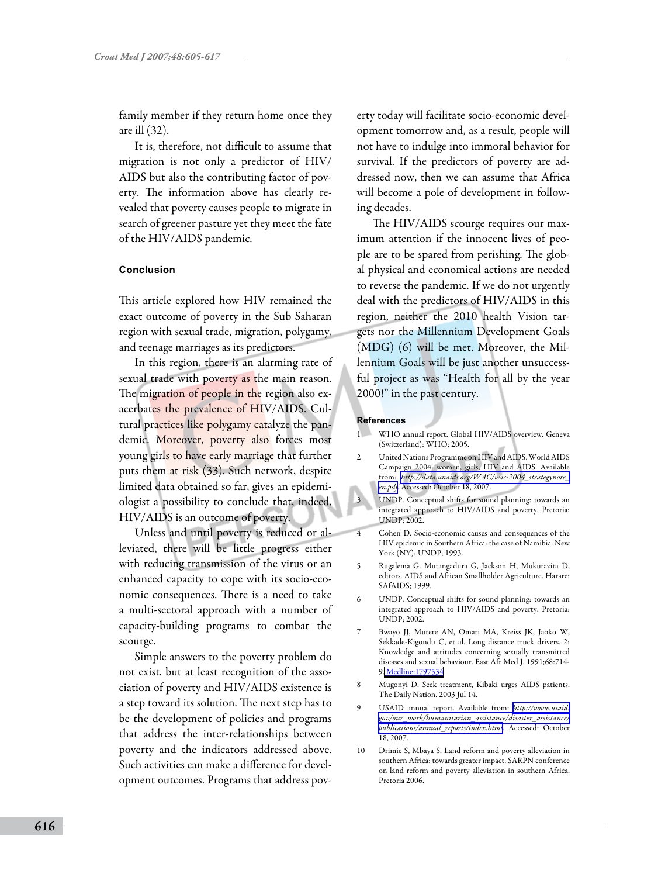family member if they return home once they are ill (32).

It is, therefore, not difficult to assume that migration is not only a predictor of HIV/ AIDS but also the contributing factor of poverty. The information above has clearly revealed that poverty causes people to migrate in search of greener pasture yet they meet the fate of the HIV/AIDS pandemic.

### **Conclusion**

This article explored how HIV remained the exact outcome of poverty in the Sub Saharan region with sexual trade, migration, polygamy, and teenage marriages as its predictors.

In this region, there is an alarming rate of sexual trade with poverty as the main reason. The migration of people in the region also exacerbates the prevalence of HIV/AIDS. Cultural practices like polygamy catalyze the pandemic. Moreover, poverty also forces most young girls to have early marriage that further puts them at risk (33). Such network, despite limited data obtained so far, gives an epidemiologist a possibility to conclude that, indeed, HIV/AIDS is an outcome of poverty.

Unless and until poverty is reduced or alleviated, there will be little progress either with reducing transmission of the virus or an enhanced capacity to cope with its socio-economic consequences. There is a need to take a multi-sectoral approach with a number of capacity-building programs to combat the scourge.

Simple answers to the poverty problem do not exist, but at least recognition of the association of poverty and HIV/AIDS existence is a step toward its solution. The next step has to be the development of policies and programs that address the inter-relationships between poverty and the indicators addressed above. Such activities can make a difference for development outcomes. Programs that address poverty today will facilitate socio-economic development tomorrow and, as a result, people will not have to indulge into immoral behavior for survival. If the predictors of poverty are addressed now, then we can assume that Africa will become a pole of development in following decades.

The HIV/AIDS scourge requires our maximum attention if the innocent lives of people are to be spared from perishing. The global physical and economical actions are needed to reverse the pandemic. If we do not urgently deal with the predictors of HIV/AIDS in this region, neither the 2010 health Vision targets nor the Millennium Development Goals (MDG) (6) will be met. Moreover, the Millennium Goals will be just another unsuccessful project as was "Health for all by the year 2000!" in the past century.

#### **References**

- 1 WHO annual report. Global HIV/AIDS overview. Geneva (Switzerland): WHO; 2005.
- 2 United Nations Programme on HIV and AIDS. World AIDS Campaign 2004: women, girls, HIV and AIDS. Available from: *[http://data.unaids.org/WAC/wac-2004\\_strategynote\\_](http://data.unaids.org/WAC/wac-2004_strategynote_en.pdf) [en.pdf](http://data.unaids.org/WAC/wac-2004_strategynote_en.pdf)*. Accessed: October 18, 2007.
- 3 UNDP. Conceptual shifts for sound planning: towards an integrated approach to HIV/AIDS and poverty. Pretoria: UNDP; 2002.
- 4 Cohen D. Socio-economic causes and consequences of the HIV epidemic in Southern Africa: the case of Namibia. New York (NY): UNDP; 1993.
- 5 Rugalema G. Mutangadura G, Jackson H, Mukurazita D, editors. AIDS and African Smallholder Agriculture. Harare: SAfAIDS; 1999.
- 6 UNDP. Conceptual shifts for sound planning: towards an integrated approach to HIV/AIDS and poverty. Pretoria: UNDP; 2002.
- 7 Bwayo JJ, Mutere AN, Omari MA, Kreiss JK, Jaoko W, Sekkade-Kigondu C, et al. Long distance truck drivers. 2: Knowledge and attitudes concerning sexually transmitted diseases and sexual behaviour. East Afr Med J. 1991;68:714- 9[. Medline:1797534](http://www.ncbi.nlm.nih.gov/sites/entrez?cmd=Retrieve&db=PubMed&list_uids=1797534&dopt=Abstrac)
- 8 Mugonyi D. Seek treatment, Kibaki urges AIDS patients. The Daily Nation. 2003 Jul 14.
- 9 USAID annual report. Available from: *[http://www.usaid.](http://www.usaid.gov/our_work/humanitarian_assistance/disaster_assistance/publications/annual_reports/index.html) [gov/our\\_work/humanitarian\\_assistance/disaster\\_assistance/](http://www.usaid.gov/our_work/humanitarian_assistance/disaster_assistance/publications/annual_reports/index.html) [publications/annual\\_reports/index.html](http://www.usaid.gov/our_work/humanitarian_assistance/disaster_assistance/publications/annual_reports/index.html)*. Accessed: October 18, 2007.
- 10 Drimie S, Mbaya S. Land reform and poverty alleviation in southern Africa: towards greater impact. SARPN conference on land reform and poverty alleviation in southern Africa. Pretoria 2006.